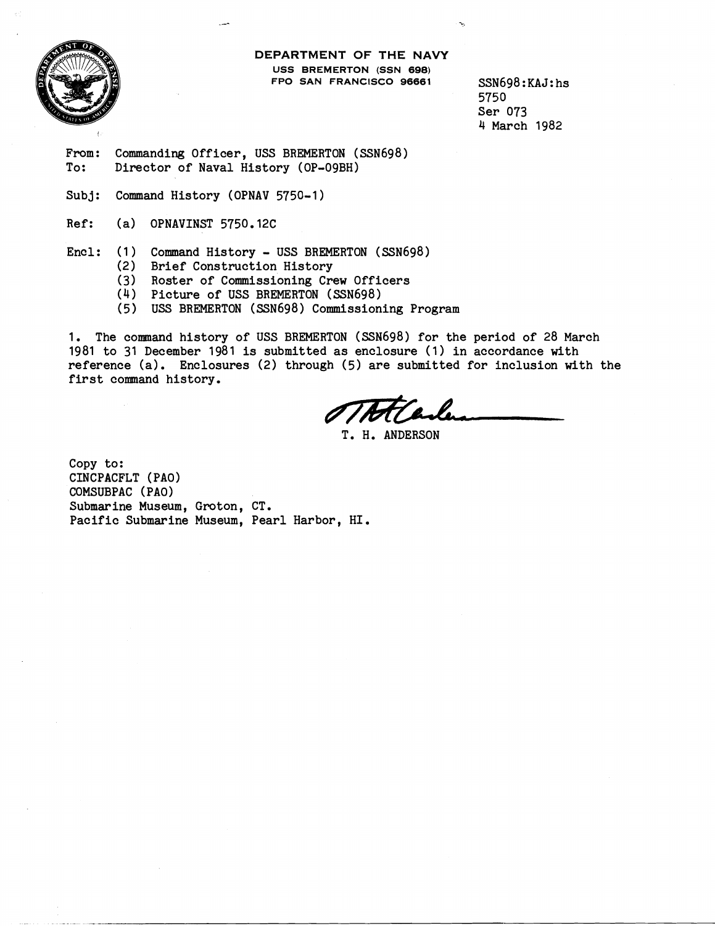

**DEPARTMENT OF THE NAVY USS BREMERTON (SSN 698) FPO SAN FRANCISCO 96661** SSN698:KAJ:hs

5750 Ser 073 4 March 1982

From: Commanding Officer, USS BREMERTON (SSN698)<br>To: Director of Naval History (OP-09BH) Director of Naval History (OP-09BH)

Subj: Command History (OPNAV 5750-1)

Ref: (a) OPNAVINST 5750.12C

Encl: (1) Command History - USS BREMERTON (SSN698)

- (2) Brief Construction History
- (3) Roster of Commissioning Crew Officers
- (4) Picture of USS BREMERTON (SSN698)
- ( 5 ) USS BREMERTON (SSN698 ) Commissioning Program

1. The connnand history of USS BREMERTON (SSN698) for the period of 28 March 1981 to 31 December 1981 is submitted as enclosure (1) in accordance with reference (a). Enclosures (2) through (5) are submitted for inclusion with the first command history.

T. H. ANDERSON

Copy to: CINCPACFLT (PAO) COMSUBPAC (PAO) Submarine Museum, Groton, CT. Pacific Submarine Museum, Pearl Harbor, HI.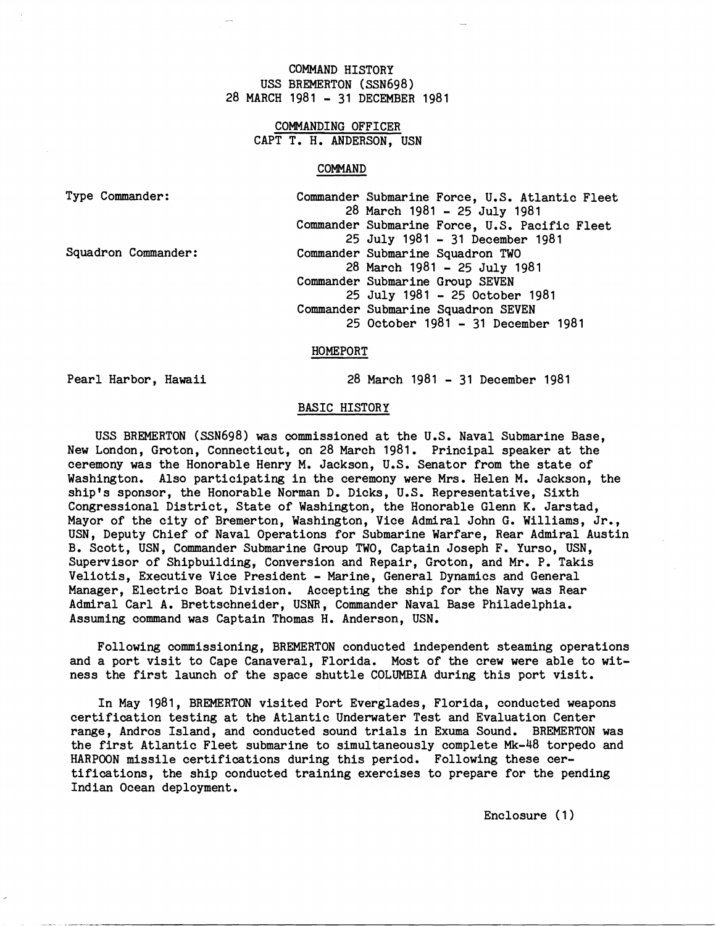# COMMAND HISTORY USS BREMERTON (SSN698) 28 MARCH 1981 - 31 DECEMBER 1981

# COMMANDING OFFICER CAPT T. H. ANDERSON, USN

## COMMAND

| Type Commander:     | Commander Submarine Force, U.S. Atlantic Fleet |
|---------------------|------------------------------------------------|
|                     | 28 March 1981 - 25 July 1981                   |
|                     | Commander Submarine Force, U.S. Pacific Fleet  |
|                     | 25 July 1981 - 31 December 1981                |
| Squadron Commander: | Commander Submarine Squadron TWO               |
|                     | 28 March 1981 - 25 July 1981                   |
|                     | Commander Submarine Group SEVEN                |
|                     | 25 July 1981 - 25 October 1981                 |
|                     | Commander Submarine Squadron SEVEN             |
|                     | 25 October 1981 - 31 December 1981             |

#### HOMEPORT

Pearl Harbor, Hawaii 28 March 1981 - 31 December 1981

## BASIC HISTORY

USS BREMERTON (SSN698) was commissioned at the U.S. Naval Submarine Base, New London, Groton, Connecticut, on 28 March 1981. Principal speaker at the ceremony was the Honorable Henry M. Jackson, U.S. Senator from the state of Washington. Also participating in the ceremony were Mrs. Helen M. Jackson, the ship's sponsor, the Honorable Norman D. Dicks, U.S. Representative, Sixth Congressional District, State of Washington, the Honorable Glenn K. Jarstad, Mayor of the city of Bremerton, Washington, Vice Admiral John G. Williams, Jr., USN, Deputy Chief of Naval Operations for Submarine Warfare, Hear Admiral Austin B. Scott, USN, Commander Submarine Group TWO, Captain Joseph F. Yurso, USN, Supervisor of Shipbuilding, Conversion and Repair, Groton, and Mr. P. Takis Veliotis, Executive Vice President - Marine, General Dynamics and General Manager, Electric Boat Division. Accepting the ship for the Navy was Rear Admiral Carl A. Brettschneider, USNR, Commander Naval Base Philadelphia. Assuming command was Captain Thomas H. Anderson, USN.

Following commissioning, BREMERTON conducted independent steaming operations and a port visit to Cape Canaveral, Florida. Most of the crew were able to witness the first launch of the space shuttle COLUMBIA during this port visit.

In May 1981, BREMERTON visited Port Everglades, Florida, conducted weapons certification testing at the Atlantic Underwater Test and Evaluation Center range, Andros Island, and conducted sound trials in Exuma Sound. BREMERTON was the first Atlantic Fleet submarine to simultaneously complete Mk-48 torpedo and HARPOON missile certifications during this period. Following these certifications, the ship conducted training exercises to prepare for the pending Indian Ocean deployment.

Enclosure ( 1 )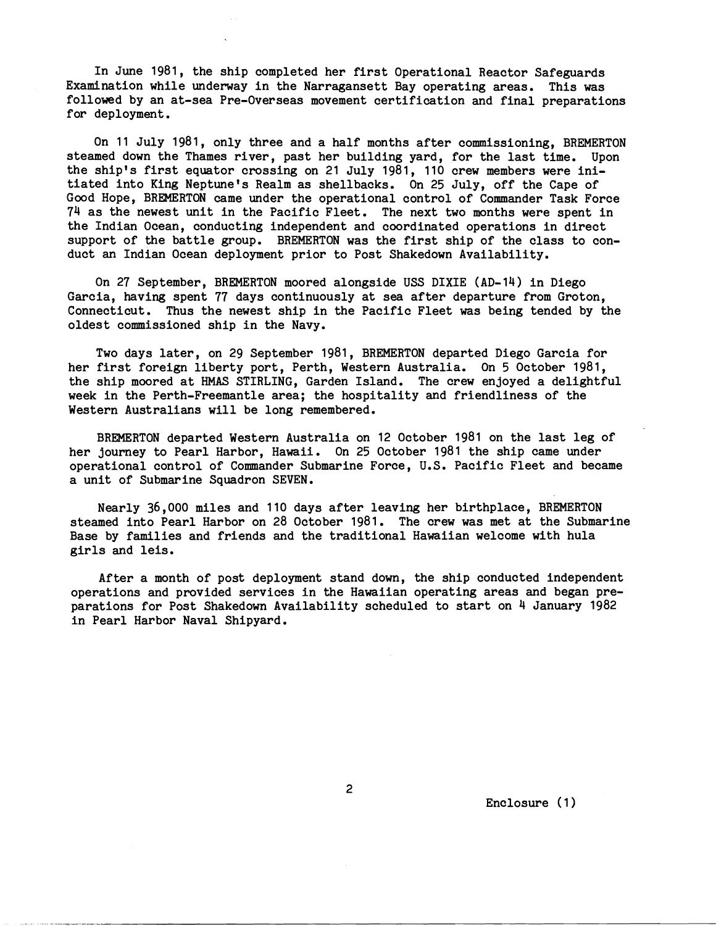In June 1981, the ship completed her first Operational Reactor Safeguards Examination while underway in the Narragansett Bay operating areas. This was followed by an at-sea Pre-Overseas movement certification and final preparations for deployment .

On 11 July 1981, only three and a half months after commissioning, BREMERTON steamed down the Thames river, past her building yard, for the last time. Upon the ship's first equator crossing on 21 July 1981, 110 crew members were initiated into King Neptune's Realm as shellbacks. On 25 July, off the Cape of Good Hope, BREMERTON came under the operational control of Commander Task Force 74 as the newest unit in the Pacific Fleet. The next two months were spent in the Indian Ocean, conducting independent and coordinated operations in direct support of the battle group. BREMERTON was the first ship of the class to conduct an Indian Ocean deployment prior to Post Shakedown Availability.

On 27 September, BREMERTON moored alongside USS DIXIE (AD-14) in Diego Garcia, having spent 77 days continuously at sea after departure from Groton, Connecticut. Thus the newest ship in the Pacific Fleet was being tended by the oldest commissioned ship in the Navy.

Two days later, on 29 September 1981, BREMERTON departed Diego Garcia for her first foreign liberty port, Perth, Western Australia. On 5 October 1981, the ship moored at **HMAS** STIRLING, Garden Island. The crew enjoyed a delightful week in the Perth-Freemantle area; the hospitality and friendliness of the Western Australians will be long remembered.

BREMERTON departed Western Australia on 12 October 1981 on the last leg of her journey to Pearl Harbor, Hawaii. On 25 October 1981 the ship came under operational control of Commander Submarine Force, U.S. Pacific Fleet and became a unit of Submarine Squadron SEVEN.

Nearly 36,000 miles and 110 days after leaving her birthplace, BREMERTON steamed into Pearl Harbor on 28 October 1981. The crew was met at the Submarine Base by families and friends and the traditional Hawaiian welcome with hula girls and leis.

After a month of post deployment stand down, the ship conducted independent operations and provided services in the Hawaiian operating areas and began preparations for Post Shakedown Availability scheduled to start on 4 January 1982 in Pearl Harbor Naval Shipyard.

Enclosure (1)

 $\overline{2}$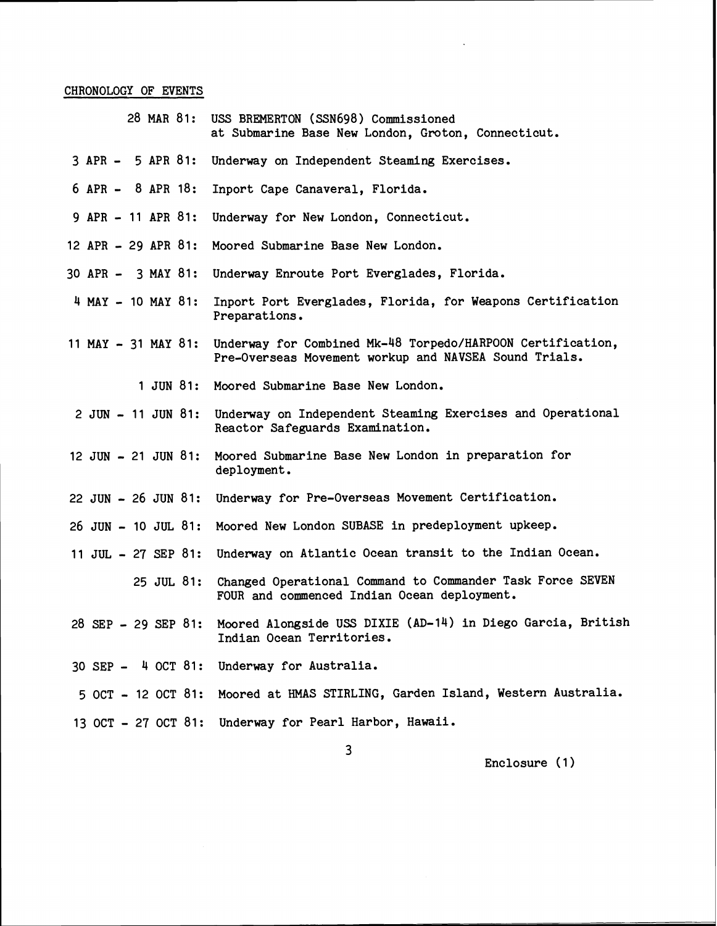### CHRONOLOGY OF EVENTS

- 28 MAR 81: USS BREMERTON (SSN698) Commissioned at Submarine Base New London, Groton, Connecticut.
- 3 APR 5 APR 81: Underway on Independent Steaming Exercises.
- 6 APR 8 APR 18: Inport Cape Canaveral, Florida.
- 9 APR 11 APR 81: Underway for New London, Connecticut.
- 12 APR 29 APR 81: Moored Submarine Base New London.
- 30 APR 3 MAY 81: Underway Enroute Port Everglades, Florida.
- 4 MAY 10 MAY 81: Inport Port Everglades, Florida, for Weapons Certification Preparations.
- 11 MAY 31 MAY 81: Underway for Combined Mk-48 Torpedo/HARPOON Certification, Pre-Overseas Movement workup and NAVSEA Sound Trials.
	- 1 JUN 81: Moored Submarine Base New London.
- 2 JUN 11 JUN 81: Underway on Independent Steaming Exercises and Operational Reactor Safeguards Examination.
- 12 JUN 21 JUN 81: Moored Submarine Base New London in preparation for deployment.
- 22 JUN 26 JUN 81: Underway for Pre-Overseas Movement Certification.
- 26 JUN 10 JUL 81: Moored New London SUBASE in predeployment upkeep.
- 11 JUL 27 SEP 81: Underway on Atlantic Ocean transit to the Indian Ocean.

25 JUL 81: Changed Operational Command to Commander Task Force SEVEN FOUR and commenced Indian Ocean deployment.

- 28 SEP 29 SEP 81: Moored Alongside USS DIXIE (AD-14) in Diego Garcia, British Indian Ocean Territories.
- 30 SEP 4 OCT 81: Underway for Australia.
- 5 OCT 12 OCT 81: Moored at HMAS STIRLING, Garden Island, Western Australia.
- 13 OCT 27 OCT 81: Underway for Pearl Harbor, Hawaii.

3

Enclosure (1)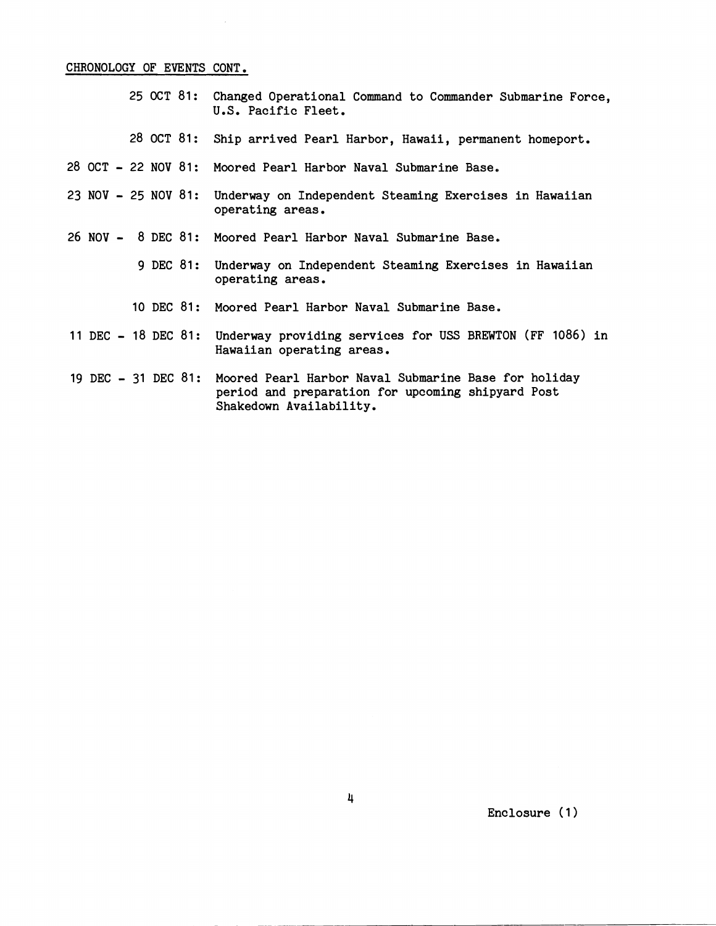### CHRONOLOGY OF EVENTS CONT.

- 25 **OCT** 81: Changed Operational Command to Commander Submarine Force, U.S. Pacific Fleet.
- 28 OCT 81: Ship arrived Pearl Harbor, Hawaii, permanent homeport.
- 28 OCT 22 NOV 81: Moored Pearl Harbor Naval Submarine Base,,
- 23 NOV 25 NOV 81: Underway on Independent Steaming Exercises in Hawaiian operating areas.
- 26 NOV 8 DEC 81: Moored Pearl Harbor Naval Submarine Base.
	- 9 DEC 81: Underway on Independent Steaming Exercises in Hawaiian operating areas.
	- 10 DEC 81: Moored Pearl Harbor Naval Submarine Base.
- 11 DEC 18 DEC 81: Underway providing services for USS BREWTON (FF 1086) in Hawaiian operating areas.
- 19 DEC **31** DEC 81: Moored Pearl Harbor Naval Submarine Base for holiday period and preparation for upcoming shipyard Post Shakedown Availability.

Enclosure (1)